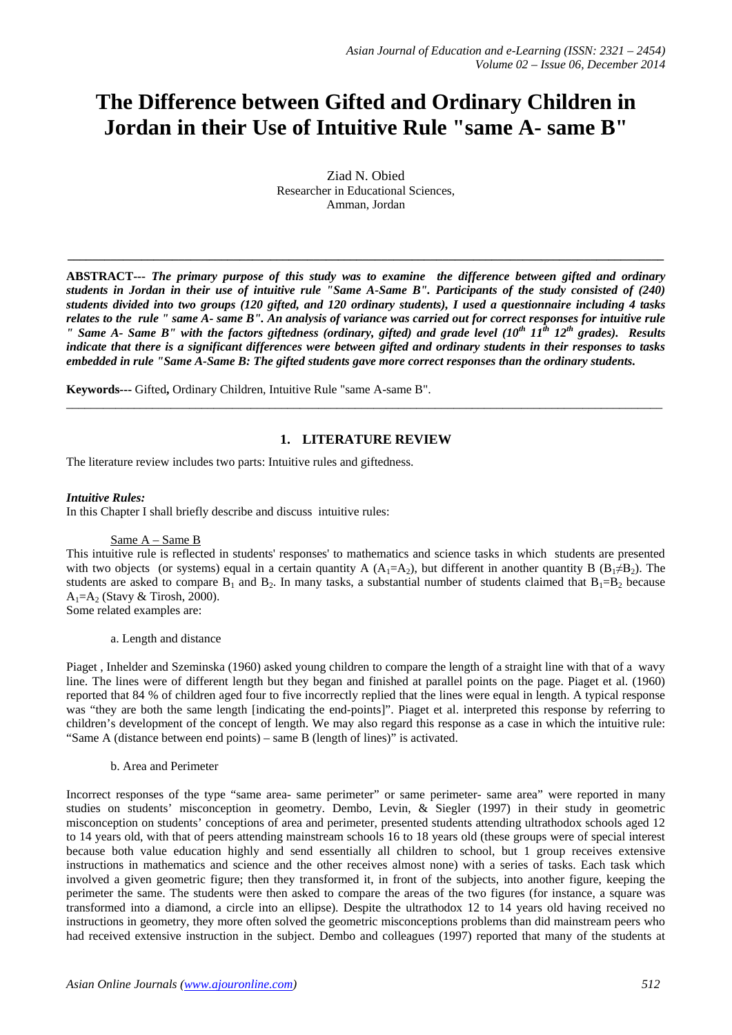# **The Difference between Gifted and Ordinary Children in Jordan in their Use of Intuitive Rule "same A- same B"**

Ziad N. Obied Researcher in Educational Sciences, Amman, Jordan

**ABSTRACT---** *The primary purpose of this study was to examine the difference between gifted and ordinary students in Jordan in their use of intuitive rule "Same A-Same B". Participants of the study consisted of (240) students divided into two groups (120 gifted, and 120 ordinary students), I used a questionnaire including 4 tasks relates to the rule " same A- same B". An analysis of variance was carried out for correct responses for intuitive rule " Same A- Same B" with the factors giftedness (ordinary, gifted) and grade level (10th 11th 12th grades). Results indicate that there is a significant differences were between gifted and ordinary students in their responses to tasks embedded in rule "Same A-Same B: The gifted students gave more correct responses than the ordinary students.*

**\_\_\_\_\_\_\_\_\_\_\_\_\_\_\_\_\_\_\_\_\_\_\_\_\_\_\_\_\_\_\_\_\_\_\_\_\_\_\_\_\_\_\_\_\_\_\_\_\_\_\_\_\_\_\_\_\_\_\_\_\_\_\_\_\_\_\_\_\_\_\_\_\_\_\_\_\_\_\_\_\_\_\_\_\_\_\_\_\_\_\_\_\_\_\_\_\_**

**Keywords---** Gifted**,** Ordinary Children, Intuitive Rule "same A-same B".

# **1. LITERATURE REVIEW**

\_\_\_\_\_\_\_\_\_\_\_\_\_\_\_\_\_\_\_\_\_\_\_\_\_\_\_\_\_\_\_\_\_\_\_\_\_\_\_\_\_\_\_\_\_\_\_\_\_\_\_\_\_\_\_\_\_\_\_\_\_\_\_\_\_\_\_\_\_\_\_\_\_\_\_\_\_\_\_\_\_\_\_\_\_\_\_\_\_\_\_\_\_\_\_\_\_

The literature review includes two parts: Intuitive rules and giftedness.

#### *Intuitive Rules:*

In this Chapter I shall briefly describe and discuss intuitive rules:

#### Same A – Same B

This intuitive rule is reflected in students' responses' to mathematics and science tasks in which students are presented with two objects (or systems) equal in a certain quantity A (A<sub>1</sub>=A<sub>2</sub>), but different in another quantity B (B<sub>1</sub>≠B<sub>2</sub>). The students are asked to compare  $B_1$  and  $B_2$ . In many tasks, a substantial number of students claimed that  $B_1 = B_2$  because  $A_1 = A_2$  (Stavy & Tirosh, 2000).

Some related examples are:

a. Length and distance

Piaget , Inhelder and Szeminska (1960) asked young children to compare the length of a straight line with that of a wavy line. The lines were of different length but they began and finished at parallel points on the page. Piaget et al. (1960) reported that 84 % of children aged four to five incorrectly replied that the lines were equal in length. A typical response was "they are both the same length [indicating the end-points]". Piaget et al. interpreted this response by referring to children's development of the concept of length. We may also regard this response as a case in which the intuitive rule: "Same A (distance between end points) – same B (length of lines)" is activated.

b. Area and Perimeter

Incorrect responses of the type "same area- same perimeter" or same perimeter- same area" were reported in many studies on students' misconception in geometry. Dembo, Levin, & Siegler (1997) in their study in geometric misconception on students' conceptions of area and perimeter, presented students attending ultrathodox schools aged 12 to 14 years old, with that of peers attending mainstream schools 16 to 18 years old (these groups were of special interest because both value education highly and send essentially all children to school, but 1 group receives extensive instructions in mathematics and science and the other receives almost none) with a series of tasks. Each task which involved a given geometric figure; then they transformed it, in front of the subjects, into another figure, keeping the perimeter the same. The students were then asked to compare the areas of the two figures (for instance, a square was transformed into a diamond, a circle into an ellipse). Despite the ultrathodox 12 to 14 years old having received no instructions in geometry, they more often solved the geometric misconceptions problems than did mainstream peers who had received extensive instruction in the subject. Dembo and colleagues (1997) reported that many of the students at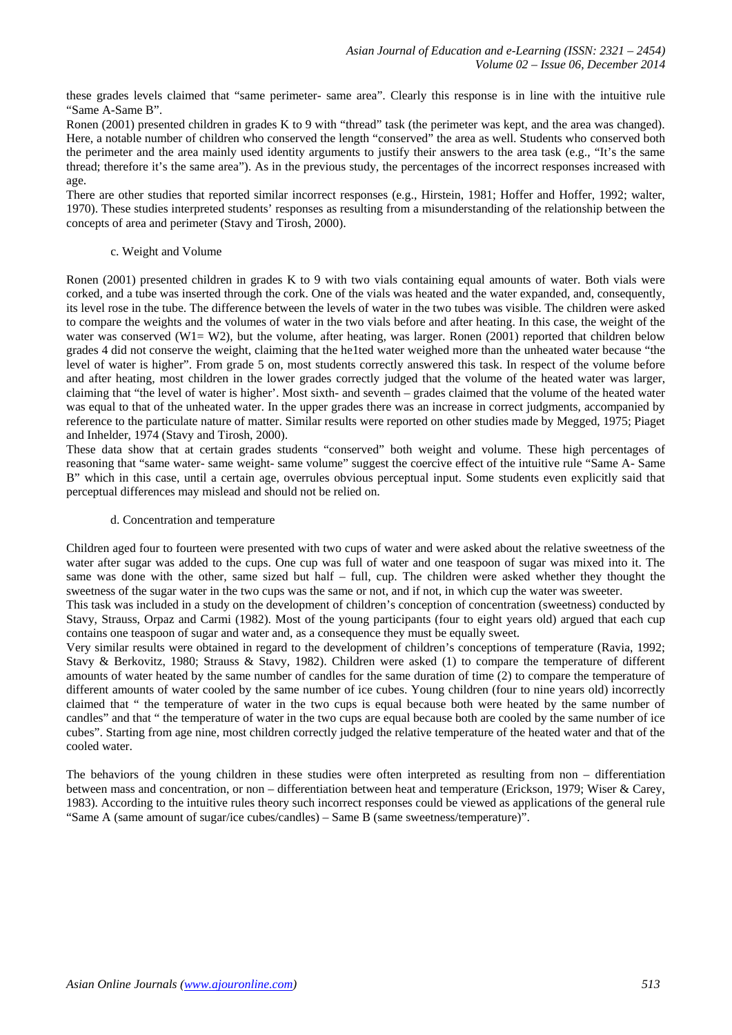these grades levels claimed that "same perimeter- same area". Clearly this response is in line with the intuitive rule "Same A-Same B".

Ronen (2001) presented children in grades K to 9 with "thread" task (the perimeter was kept, and the area was changed). Here, a notable number of children who conserved the length "conserved" the area as well. Students who conserved both the perimeter and the area mainly used identity arguments to justify their answers to the area task (e.g., "It's the same thread; therefore it's the same area"). As in the previous study, the percentages of the incorrect responses increased with age.

There are other studies that reported similar incorrect responses (e.g., Hirstein, 1981; Hoffer and Hoffer, 1992; walter, 1970). These studies interpreted students' responses as resulting from a misunderstanding of the relationship between the concepts of area and perimeter (Stavy and Tirosh, 2000).

#### c. Weight and Volume

Ronen (2001) presented children in grades K to 9 with two vials containing equal amounts of water. Both vials were corked, and a tube was inserted through the cork. One of the vials was heated and the water expanded, and, consequently, its level rose in the tube. The difference between the levels of water in the two tubes was visible. The children were asked to compare the weights and the volumes of water in the two vials before and after heating. In this case, the weight of the water was conserved (W1= W2), but the volume, after heating, was larger. Ronen (2001) reported that children below grades 4 did not conserve the weight, claiming that the he1ted water weighed more than the unheated water because "the level of water is higher". From grade 5 on, most students correctly answered this task. In respect of the volume before and after heating, most children in the lower grades correctly judged that the volume of the heated water was larger, claiming that "the level of water is higher'. Most sixth- and seventh – grades claimed that the volume of the heated water was equal to that of the unheated water. In the upper grades there was an increase in correct judgments, accompanied by reference to the particulate nature of matter. Similar results were reported on other studies made by Megged, 1975; Piaget and Inhelder, 1974 (Stavy and Tirosh, 2000).

These data show that at certain grades students "conserved" both weight and volume. These high percentages of reasoning that "same water- same weight- same volume" suggest the coercive effect of the intuitive rule "Same A- Same B" which in this case, until a certain age, overrules obvious perceptual input. Some students even explicitly said that perceptual differences may mislead and should not be relied on.

#### d. Concentration and temperature

Children aged four to fourteen were presented with two cups of water and were asked about the relative sweetness of the water after sugar was added to the cups. One cup was full of water and one teaspoon of sugar was mixed into it. The same was done with the other, same sized but half – full, cup. The children were asked whether they thought the sweetness of the sugar water in the two cups was the same or not, and if not, in which cup the water was sweeter.

This task was included in a study on the development of children's conception of concentration (sweetness) conducted by Stavy, Strauss, Orpaz and Carmi (1982). Most of the young participants (four to eight years old) argued that each cup contains one teaspoon of sugar and water and, as a consequence they must be equally sweet.

Very similar results were obtained in regard to the development of children's conceptions of temperature (Ravia, 1992; Stavy & Berkovitz, 1980; Strauss & Stavy, 1982). Children were asked (1) to compare the temperature of different amounts of water heated by the same number of candles for the same duration of time (2) to compare the temperature of different amounts of water cooled by the same number of ice cubes. Young children (four to nine years old) incorrectly claimed that " the temperature of water in the two cups is equal because both were heated by the same number of candles" and that " the temperature of water in the two cups are equal because both are cooled by the same number of ice cubes". Starting from age nine, most children correctly judged the relative temperature of the heated water and that of the cooled water.

The behaviors of the young children in these studies were often interpreted as resulting from non – differentiation between mass and concentration, or non – differentiation between heat and temperature (Erickson, 1979; Wiser & Carey, 1983). According to the intuitive rules theory such incorrect responses could be viewed as applications of the general rule "Same A (same amount of sugar/ice cubes/candles) – Same B (same sweetness/temperature)".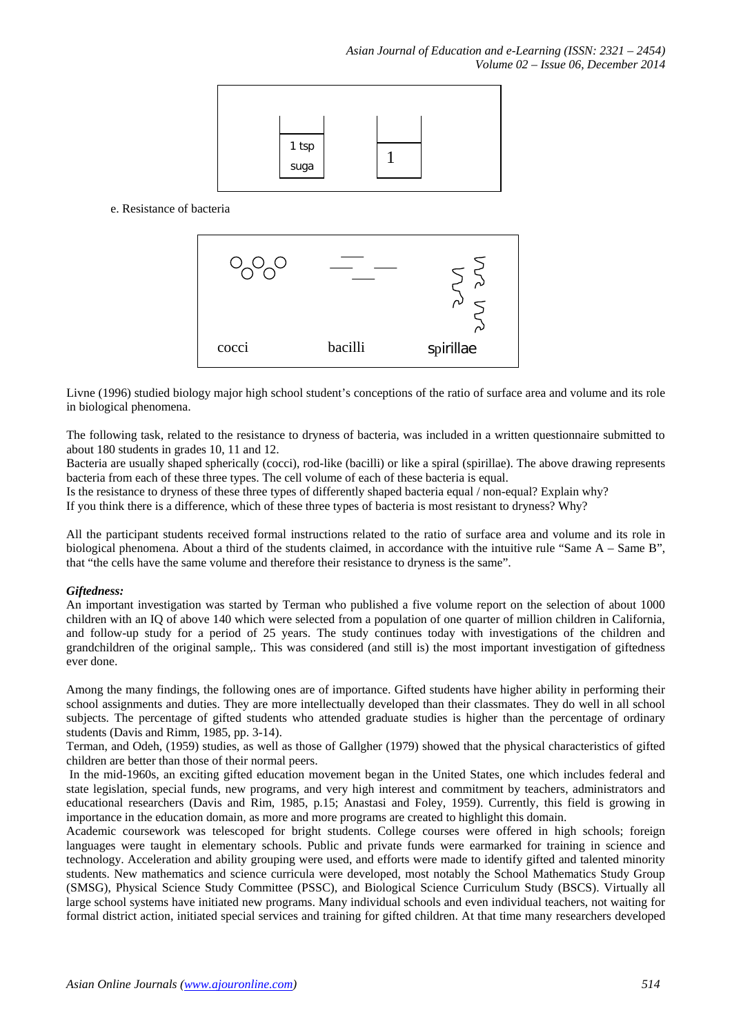

e. Resistance of bacteria



Livne (1996) studied biology major high school student's conceptions of the ratio of surface area and volume and its role in biological phenomena.

The following task, related to the resistance to dryness of bacteria, was included in a written questionnaire submitted to about 180 students in grades 10, 11 and 12.

Bacteria are usually shaped spherically (cocci), rod-like (bacilli) or like a spiral (spirillae). The above drawing represents bacteria from each of these three types. The cell volume of each of these bacteria is equal.

Is the resistance to dryness of these three types of differently shaped bacteria equal / non-equal? Explain why?

If you think there is a difference, which of these three types of bacteria is most resistant to dryness? Why?

All the participant students received formal instructions related to the ratio of surface area and volume and its role in biological phenomena. About a third of the students claimed, in accordance with the intuitive rule "Same  $A - Same B$ ". that "the cells have the same volume and therefore their resistance to dryness is the same".

# *Giftedness:*

An important investigation was started by Terman who published a five volume report on the selection of about 1000 children with an IQ of above 140 which were selected from a population of one quarter of million children in California, and follow-up study for a period of 25 years. The study continues today with investigations of the children and grandchildren of the original sample,. This was considered (and still is) the most important investigation of giftedness ever done.

Among the many findings, the following ones are of importance. Gifted students have higher ability in performing their school assignments and duties. They are more intellectually developed than their classmates. They do well in all school subjects. The percentage of gifted students who attended graduate studies is higher than the percentage of ordinary students (Davis and Rimm, 1985, pp. 3-14).

Terman, and Odeh, (1959) studies, as well as those of Gallgher (1979) showed that the physical characteristics of gifted children are better than those of their normal peers.

In the mid-1960s, an exciting gifted education movement began in the United States, one which includes federal and state legislation, special funds, new programs, and very high interest and commitment by teachers, administrators and educational researchers (Davis and Rim, 1985, p.15; Anastasi and Foley, 1959). Currently, this field is growing in importance in the education domain, as more and more programs are created to highlight this domain.

Academic coursework was telescoped for bright students. College courses were offered in high schools; foreign languages were taught in elementary schools. Public and private funds were earmarked for training in science and technology. Acceleration and ability grouping were used, and efforts were made to identify gifted and talented minority students. New mathematics and science curricula were developed, most notably the School Mathematics Study Group (SMSG), Physical Science Study Committee (PSSC), and Biological Science Curriculum Study (BSCS). Virtually all large school systems have initiated new programs. Many individual schools and even individual teachers, not waiting for formal district action, initiated special services and training for gifted children. At that time many researchers developed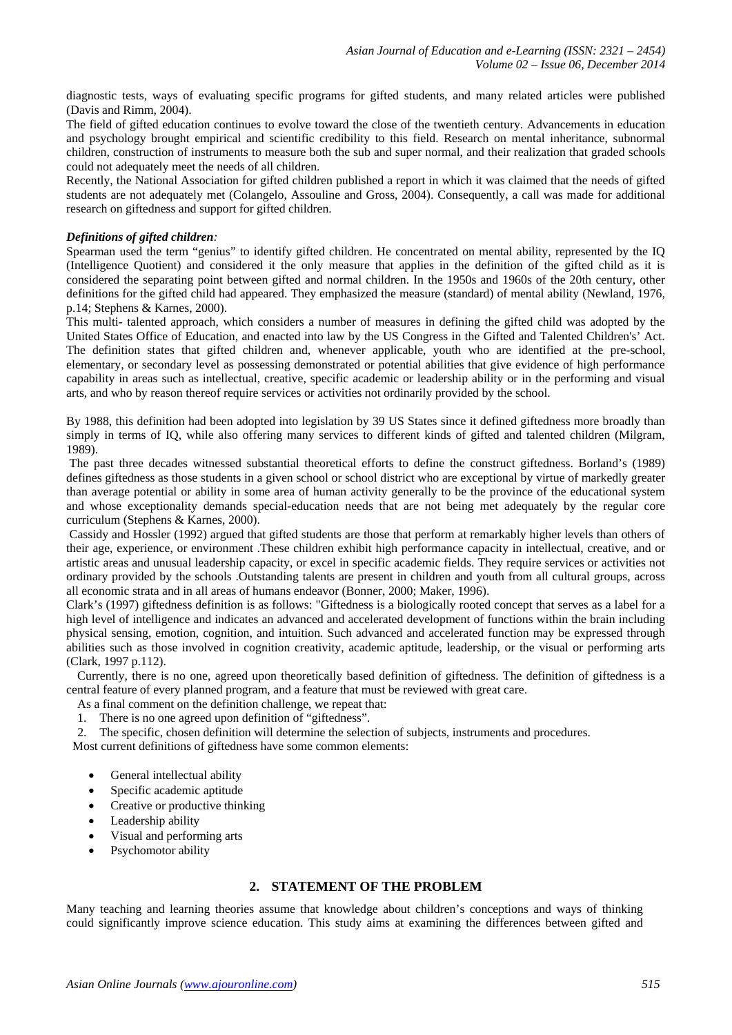diagnostic tests, ways of evaluating specific programs for gifted students, and many related articles were published (Davis and Rimm, 2004).

The field of gifted education continues to evolve toward the close of the twentieth century. Advancements in education and psychology brought empirical and scientific credibility to this field. Research on mental inheritance, subnormal children, construction of instruments to measure both the sub and super normal, and their realization that graded schools could not adequately meet the needs of all children.

Recently, the National Association for gifted children published a report in which it was claimed that the needs of gifted students are not adequately met (Colangelo, Assouline and Gross, 2004). Consequently, a call was made for additional research on giftedness and support for gifted children.

# *Definitions of gifted children:*

Spearman used the term "genius" to identify gifted children. He concentrated on mental ability, represented by the IQ (Intelligence Quotient) and considered it the only measure that applies in the definition of the gifted child as it is considered the separating point between gifted and normal children. In the 1950s and 1960s of the 20th century, other definitions for the gifted child had appeared. They emphasized the measure (standard) of mental ability (Newland, 1976, p.14; Stephens & Karnes, 2000).

This multi- talented approach, which considers a number of measures in defining the gifted child was adopted by the United States Office of Education, and enacted into law by the US Congress in the Gifted and Talented Children's' Act. The definition states that gifted children and, whenever applicable, youth who are identified at the pre-school, elementary, or secondary level as possessing demonstrated or potential abilities that give evidence of high performance capability in areas such as intellectual, creative, specific academic or leadership ability or in the performing and visual arts, and who by reason thereof require services or activities not ordinarily provided by the school.

By 1988, this definition had been adopted into legislation by 39 US States since it defined giftedness more broadly than simply in terms of IQ, while also offering many services to different kinds of gifted and talented children (Milgram, 1989).

The past three decades witnessed substantial theoretical efforts to define the construct giftedness. Borland's (1989) defines giftedness as those students in a given school or school district who are exceptional by virtue of markedly greater than average potential or ability in some area of human activity generally to be the province of the educational system and whose exceptionality demands special-education needs that are not being met adequately by the regular core curriculum (Stephens & Karnes, 2000).

Cassidy and Hossler (1992) argued that gifted students are those that perform at remarkably higher levels than others of their age, experience, or environment .These children exhibit high performance capacity in intellectual, creative, and or artistic areas and unusual leadership capacity, or excel in specific academic fields. They require services or activities not ordinary provided by the schools .Outstanding talents are present in children and youth from all cultural groups, across all economic strata and in all areas of humans endeavor (Bonner, 2000; Maker, 1996).

Clark's (1997) giftedness definition is as follows: "Giftedness is a biologically rooted concept that serves as a label for a high level of intelligence and indicates an advanced and accelerated development of functions within the brain including physical sensing, emotion, cognition, and intuition. Such advanced and accelerated function may be expressed through abilities such as those involved in cognition creativity, academic aptitude, leadership, or the visual or performing arts (Clark, 1997 p.112).

Currently, there is no one, agreed upon theoretically based definition of giftedness. The definition of giftedness is a central feature of every planned program, and a feature that must be reviewed with great care.

- As a final comment on the definition challenge, we repeat that:
- 1. There is no one agreed upon definition of "giftedness".

2. The specific, chosen definition will determine the selection of subjects, instruments and procedures.

Most current definitions of giftedness have some common elements:

- General intellectual ability
- Specific academic aptitude
- Creative or productive thinking
- Leadership ability
- Visual and performing arts
- Psychomotor ability

# **2. STATEMENT OF THE PROBLEM**

Many teaching and learning theories assume that knowledge about children's conceptions and ways of thinking could significantly improve science education. This study aims at examining the differences between gifted and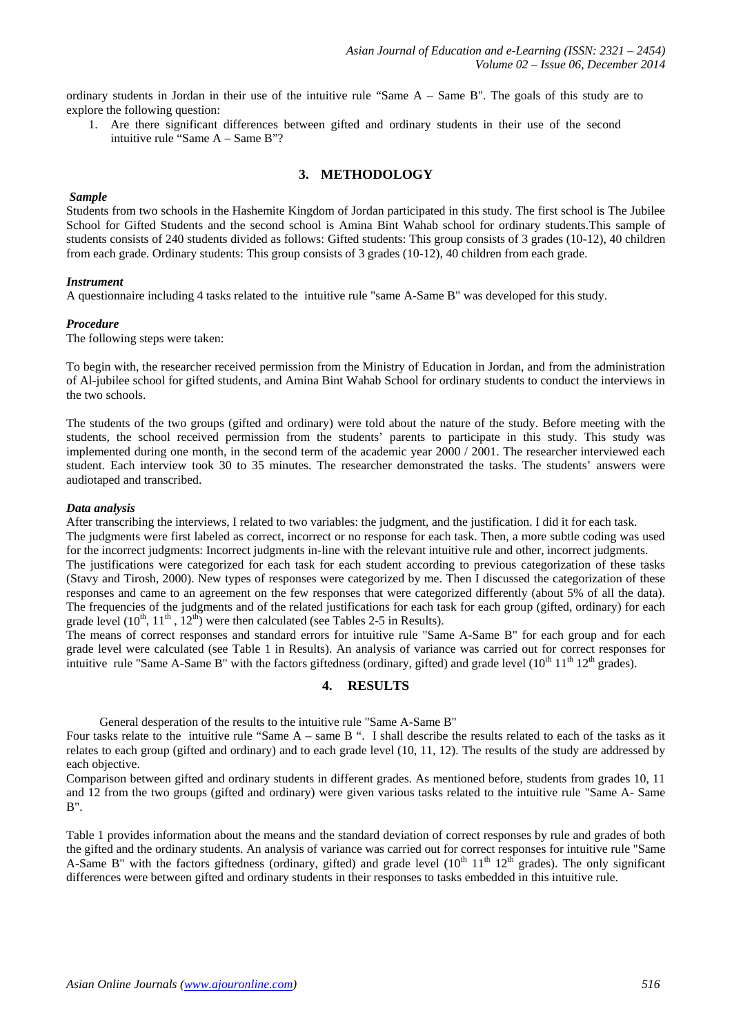ordinary students in Jordan in their use of the intuitive rule "Same A – Same B". The goals of this study are to explore the following question:

1. Are there significant differences between gifted and ordinary students in their use of the second intuitive rule "Same A – Same B"?

# **3. METHODOLOGY**

#### *Sample*

Students from two schools in the Hashemite Kingdom of Jordan participated in this study. The first school is The Jubilee School for Gifted Students and the second school is Amina Bint Wahab school for ordinary students.This sample of students consists of 240 students divided as follows: Gifted students: This group consists of 3 grades (10-12), 40 children from each grade. Ordinary students: This group consists of 3 grades (10-12), 40 children from each grade.

#### *Instrument*

A questionnaire including 4 tasks related to the intuitive rule "same A-Same B" was developed for this study.

#### *Procedure*

The following steps were taken:

To begin with, the researcher received permission from the Ministry of Education in Jordan, and from the administration of Al-jubilee school for gifted students, and Amina Bint Wahab School for ordinary students to conduct the interviews in the two schools.

The students of the two groups (gifted and ordinary) were told about the nature of the study. Before meeting with the students, the school received permission from the students' parents to participate in this study. This study was implemented during one month, in the second term of the academic year 2000 / 2001. The researcher interviewed each student. Each interview took 30 to 35 minutes. The researcher demonstrated the tasks. The students' answers were audiotaped and transcribed.

#### *Data analysis*

After transcribing the interviews, I related to two variables: the judgment, and the justification. I did it for each task.

The judgments were first labeled as correct, incorrect or no response for each task. Then, a more subtle coding was used for the incorrect judgments: Incorrect judgments in-line with the relevant intuitive rule and other, incorrect judgments.

The justifications were categorized for each task for each student according to previous categorization of these tasks (Stavy and Tirosh, 2000). New types of responses were categorized by me. Then I discussed the categorization of these responses and came to an agreement on the few responses that were categorized differently (about 5% of all the data). The frequencies of the judgments and of the related justifications for each task for each group (gifted, ordinary) for each grade level  $(10^{th}, 11^{th}, 12^{th})$  were then calculated (see Tables 2-5 in Results).

The means of correct responses and standard errors for intuitive rule "Same A-Same B" for each group and for each grade level were calculated (see Table 1 in Results). An analysis of variance was carried out for correct responses for intuitive rule "Same A-Same B" with the factors giftedness (ordinary, gifted) and grade level  $(10^{th} 11^{th} 12^{th}$  grades).

# **4. RESULTS**

General desperation of the results to the intuitive rule "Same A-Same B"

Four tasks relate to the intuitive rule "Same A – same B ". I shall describe the results related to each of the tasks as it relates to each group (gifted and ordinary) and to each grade level (10, 11, 12). The results of the study are addressed by each objective.

Comparison between gifted and ordinary students in different grades. As mentioned before, students from grades 10, 11 and 12 from the two groups (gifted and ordinary) were given various tasks related to the intuitive rule "Same A- Same B".

Table 1 provides information about the means and the standard deviation of correct responses by rule and grades of both the gifted and the ordinary students. An analysis of variance was carried out for correct responses for intuitive rule "Same A-Same B" with the factors giftedness (ordinary, gifted) and grade level  $(10<sup>th</sup> 11<sup>th</sup> 12<sup>th</sup>$  grades). The only significant differences were between gifted and ordinary students in their responses to tasks embedded in this intuitive rule.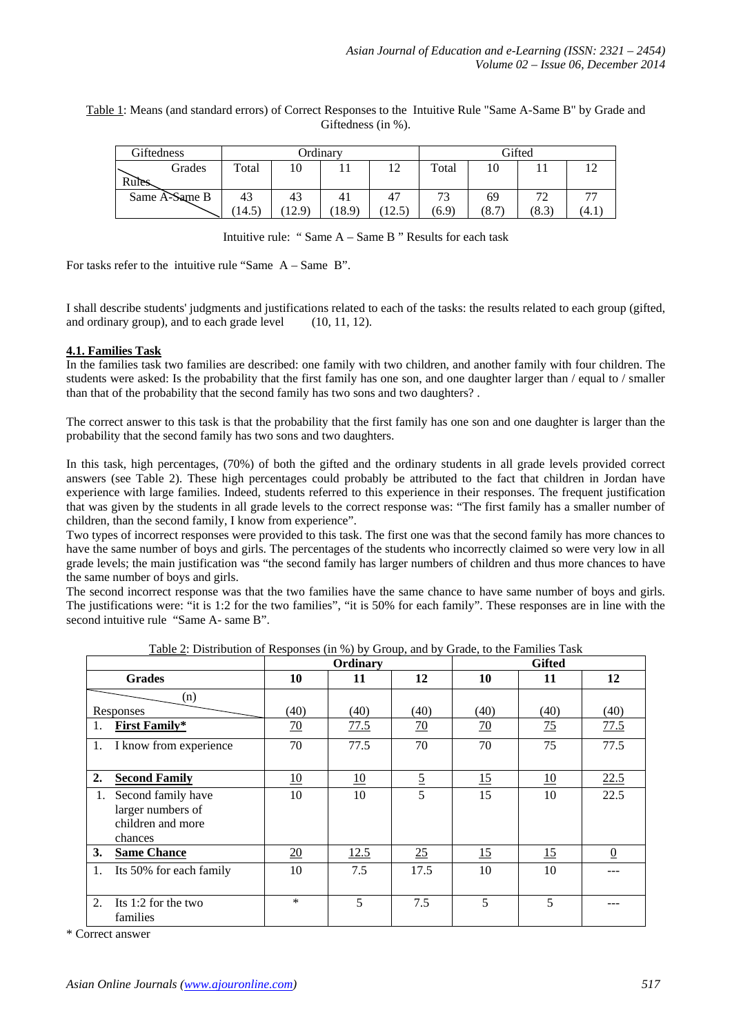| <b>Giftedness</b> |               |        | Ordinarv |       |       |         | Gifted                  |       |                          |  |
|-------------------|---------------|--------|----------|-------|-------|---------|-------------------------|-------|--------------------------|--|
|                   | Grades        | Total  | 10       |       | 12    | Total   | 10                      |       |                          |  |
| Rules.            |               |        |          |       |       |         |                         |       |                          |  |
|                   | Same A-Same B | 43     | 43       | -41   | 47    | 72<br>◡ | 69                      | 72    | $\overline{\phantom{a}}$ |  |
|                   |               | (14.5) | 12.9     | 18.9) | 12.5) | (6.9)   | $^{\prime}8.7^{\prime}$ | (8.3) | 4.1                      |  |

Table 1: Means (and standard errors) of Correct Responses to the Intuitive Rule "Same A-Same B" by Grade and Giftedness (in %).

Intuitive rule: " Same A – Same B " Results for each task

For tasks refer to the intuitive rule "Same A – Same B".

I shall describe students' judgments and justifications related to each of the tasks: the results related to each group (gifted, and ordinary group), and to each grade level (10, 11, 12).

# **4.1. Families Task**

In the families task two families are described: one family with two children, and another family with four children. The students were asked: Is the probability that the first family has one son, and one daughter larger than / equal to / smaller than that of the probability that the second family has two sons and two daughters? .

The correct answer to this task is that the probability that the first family has one son and one daughter is larger than the probability that the second family has two sons and two daughters.

In this task, high percentages, (70%) of both the gifted and the ordinary students in all grade levels provided correct answers (see Table 2). These high percentages could probably be attributed to the fact that children in Jordan have experience with large families. Indeed, students referred to this experience in their responses. The frequent justification that was given by the students in all grade levels to the correct response was: "The first family has a smaller number of children, than the second family, I know from experience".

Two types of incorrect responses were provided to this task. The first one was that the second family has more chances to have the same number of boys and girls. The percentages of the students who incorrectly claimed so were very low in all grade levels; the main justification was "the second family has larger numbers of children and thus more chances to have the same number of boys and girls.

The second incorrect response was that the two families have the same chance to have same number of boys and girls. The justifications were: "it is 1:2 for the two families", "it is 50% for each family". These responses are in line with the second intuitive rule "Same A- same B".

|                                                                               |           | Ordinary |                | <b>Gifted</b> |                |                |  |
|-------------------------------------------------------------------------------|-----------|----------|----------------|---------------|----------------|----------------|--|
| <b>Grades</b>                                                                 | 10        | 11       | 12             | 10            | 11             | 12             |  |
| (n)<br>Responses                                                              | (40)      | (40)     | (40)           | (40)          | (40)           | (40)           |  |
| <b>First Family*</b><br>1.                                                    | <u>70</u> | 77.5     | <u>70</u>      | <u>70</u>     | $\frac{75}{2}$ | 77.5           |  |
| I know from experience<br>1.                                                  | 70        | 77.5     | 70             | 70            | 75             | 77.5           |  |
| 2.<br><b>Second Family</b>                                                    | 10        | 10       | $\overline{5}$ | 15            | 10             | 22.5           |  |
| Second family have<br>1.<br>larger numbers of<br>children and more<br>chances | 10        | 10       | 5              | 15            | 10             | 22.5           |  |
| 3.<br><b>Same Chance</b>                                                      | 20        | 12.5     | 25             | <u>15</u>     | 15             | $\overline{0}$ |  |
| 1.<br>Its 50% for each family                                                 | 10        | 7.5      | 17.5           | 10            | 10             |                |  |
| Its 1:2 for the two<br>2.<br>families                                         | *         | 5        | 7.5            | 5             | 5              |                |  |

Table 2: Distribution of Responses (in %) by Group, and by Grade, to the Families Task

\* Correct answer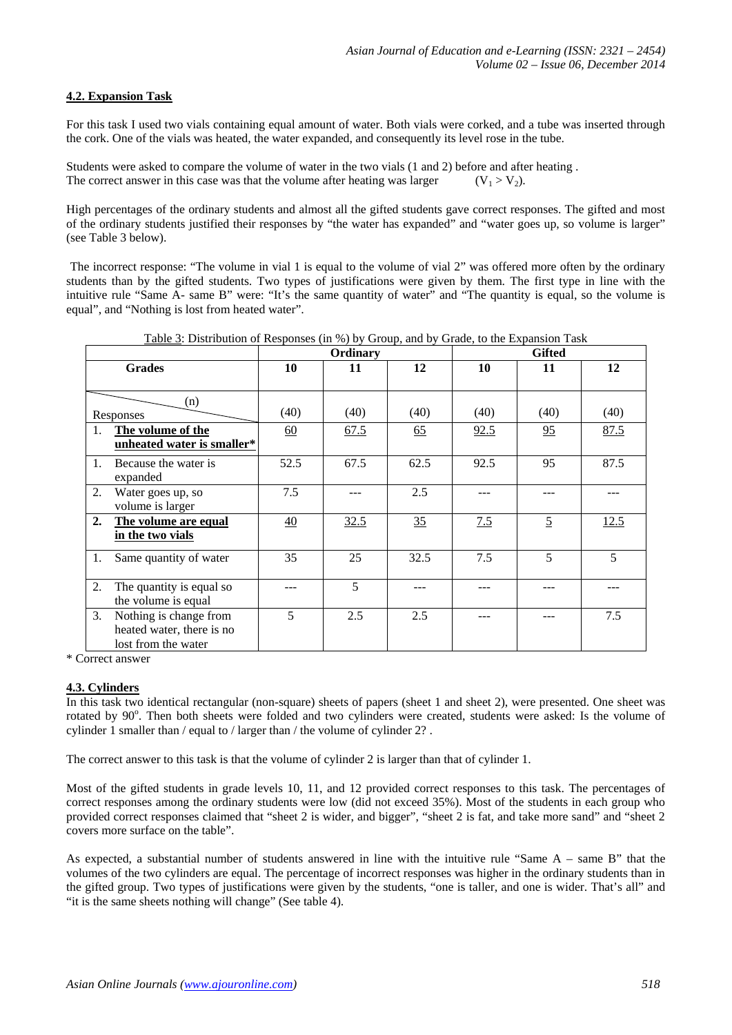# **4.2. Expansion Task**

For this task I used two vials containing equal amount of water. Both vials were corked, and a tube was inserted through the cork. One of the vials was heated, the water expanded, and consequently its level rose in the tube.

Students were asked to compare the volume of water in the two vials (1 and 2) before and after heating. The correct answer in this case was that the volume after heating was larger  $(V_1 > V_2)$ .

High percentages of the ordinary students and almost all the gifted students gave correct responses. The gifted and most of the ordinary students justified their responses by "the water has expanded" and "water goes up, so volume is larger" (see Table 3 below).

The incorrect response: "The volume in vial 1 is equal to the volume of vial 2" was offered more often by the ordinary students than by the gifted students. Two types of justifications were given by them. The first type in line with the intuitive rule "Same A- same B" were: "It's the same quantity of water" and "The quantity is equal, so the volume is equal", and "Nothing is lost from heated water".

|               |                            |           | Ordinary |      | <b>Gifted</b> |                |      |  |
|---------------|----------------------------|-----------|----------|------|---------------|----------------|------|--|
| <b>Grades</b> |                            | 10        | 11       | 12   | 10            | 11             | 12   |  |
|               |                            |           |          |      |               |                |      |  |
|               | (n)                        |           |          |      |               |                |      |  |
|               | Responses                  | (40)      | (40)     | (40) | (40)          | (40)           | (40) |  |
| 1.            | The volume of the          | <u>60</u> | 67.5     | 65   | 92.5          | 95             | 87.5 |  |
|               | unheated water is smaller* |           |          |      |               |                |      |  |
| 1.            | Because the water is       | 52.5      | 67.5     | 62.5 | 92.5          | 95             | 87.5 |  |
|               | expanded                   |           |          |      |               |                |      |  |
| 2.            | Water goes up, so          | 7.5       |          | 2.5  |               |                |      |  |
|               | volume is larger           |           |          |      |               |                |      |  |
| 2.            | The volume are equal       | 40        | 32.5     | 35   | 7.5           | $\overline{5}$ | 12.5 |  |
|               | in the two vials           |           |          |      |               |                |      |  |
| 1.            | Same quantity of water     | 35        | 25       | 32.5 | 7.5           | 5              | 5    |  |
|               |                            |           |          |      |               |                |      |  |
| 2.            | The quantity is equal so   |           | 5        |      |               |                |      |  |
|               | the volume is equal        |           |          |      |               |                |      |  |
| 3.            | Nothing is change from     | 5         | 2.5      | 2.5  |               |                | 7.5  |  |
|               | heated water, there is no  |           |          |      |               |                |      |  |
|               | lost from the water        |           |          |      |               |                |      |  |

Table 3: Distribution of Responses (in %) by Group, and by Grade, to the Expansion Task

\* Correct answer

# **4.3. Cylinders**

In this task two identical rectangular (non-square) sheets of papers (sheet 1 and sheet 2), were presented. One sheet was rotated by 90°. Then both sheets were folded and two cylinders were created, students were asked: Is the volume of cylinder 1 smaller than / equal to / larger than / the volume of cylinder 2? .

The correct answer to this task is that the volume of cylinder 2 is larger than that of cylinder 1.

Most of the gifted students in grade levels 10, 11, and 12 provided correct responses to this task. The percentages of correct responses among the ordinary students were low (did not exceed 35%). Most of the students in each group who provided correct responses claimed that "sheet 2 is wider, and bigger", "sheet 2 is fat, and take more sand" and "sheet 2 covers more surface on the table".

As expected, a substantial number of students answered in line with the intuitive rule "Same A – same B" that the volumes of the two cylinders are equal. The percentage of incorrect responses was higher in the ordinary students than in the gifted group. Two types of justifications were given by the students, "one is taller, and one is wider. That's all" and "it is the same sheets nothing will change" (See table 4).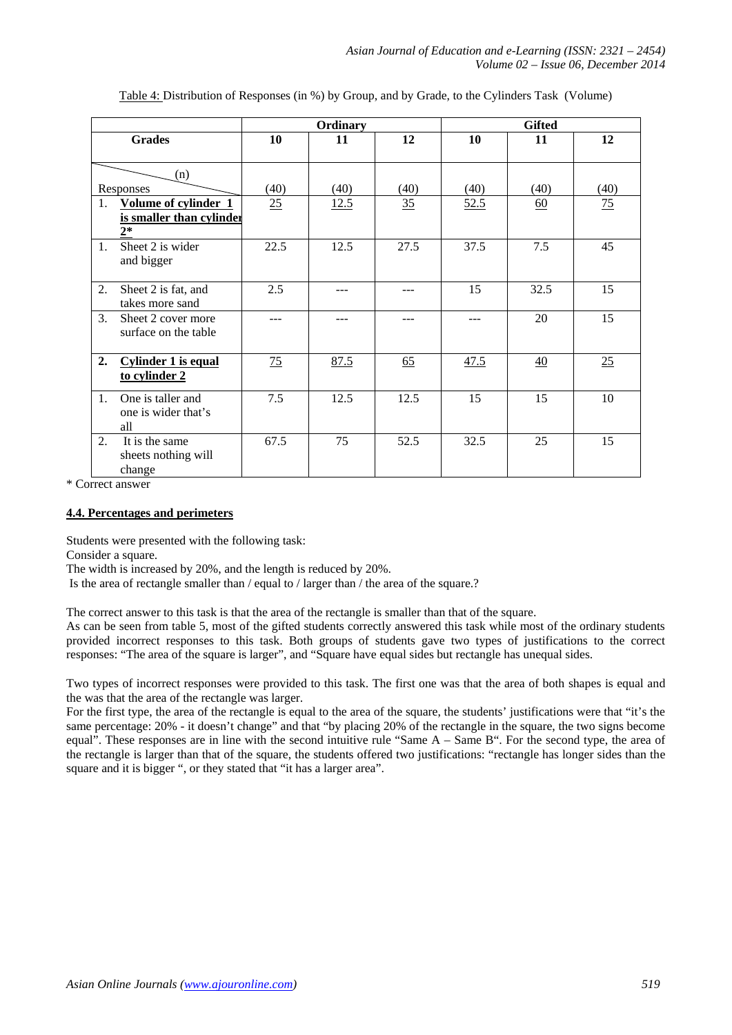|               |                            |      | Ordinary |      |      | <b>Gifted</b> |                 |  |
|---------------|----------------------------|------|----------|------|------|---------------|-----------------|--|
| <b>Grades</b> |                            | 10   | 11       | 12   | 10   | 11            | 12              |  |
|               |                            |      |          |      |      |               |                 |  |
|               | (n)                        |      |          |      |      |               |                 |  |
| Responses     |                            | (40) | (40)     | (40) | (40) | (40)          | (40)            |  |
| 1.            | Volume of cylinder 1       | 25   | 12.5     | 35   | 52.5 | 60            | $\overline{25}$ |  |
|               | is smaller than cylinder   |      |          |      |      |               |                 |  |
| $2*$          |                            |      |          |      |      |               |                 |  |
| 1.            | Sheet 2 is wider           | 22.5 | 12.5     | 27.5 | 37.5 | 7.5           | 45              |  |
| and bigger    |                            |      |          |      |      |               |                 |  |
| 2.            | Sheet 2 is fat, and        | 2.5  |          |      | 15   | 32.5          | 15              |  |
|               | takes more sand            |      |          |      |      |               |                 |  |
| 3.            | Sheet 2 cover more         |      |          |      | ---  | 20            | 15              |  |
|               | surface on the table       |      |          |      |      |               |                 |  |
|               |                            |      |          |      |      |               |                 |  |
| 2.            | <b>Cylinder 1 is equal</b> | 75   | 87.5     | 65   | 47.5 | 40            | 25              |  |
|               | to cylinder 2              |      |          |      |      |               |                 |  |
| 1.            | One is taller and          | 7.5  | 12.5     | 12.5 | 15   | 15            | 10              |  |
|               | one is wider that's        |      |          |      |      |               |                 |  |
| all           |                            |      |          |      |      |               |                 |  |
| 2.            | It is the same             | 67.5 | 75       | 52.5 | 32.5 | 25            | 15              |  |
|               | sheets nothing will        |      |          |      |      |               |                 |  |
| change        |                            |      |          |      |      |               |                 |  |

Table 4: Distribution of Responses (in %) by Group, and by Grade, to the Cylinders Task (Volume)

\* Correct answer

### **4.4. Percentages and perimeters**

Students were presented with the following task:

Consider a square.

The width is increased by 20%, and the length is reduced by 20%.

Is the area of rectangle smaller than / equal to / larger than / the area of the square.?

The correct answer to this task is that the area of the rectangle is smaller than that of the square.

As can be seen from table 5, most of the gifted students correctly answered this task while most of the ordinary students provided incorrect responses to this task. Both groups of students gave two types of justifications to the correct responses: "The area of the square is larger", and "Square have equal sides but rectangle has unequal sides.

Two types of incorrect responses were provided to this task. The first one was that the area of both shapes is equal and the was that the area of the rectangle was larger.

For the first type, the area of the rectangle is equal to the area of the square, the students' justifications were that "it's the same percentage: 20% - it doesn't change" and that "by placing 20% of the rectangle in the square, the two signs become equal". These responses are in line with the second intuitive rule "Same A – Same B". For the second type, the area of the rectangle is larger than that of the square, the students offered two justifications: "rectangle has longer sides than the square and it is bigger ", or they stated that "it has a larger area".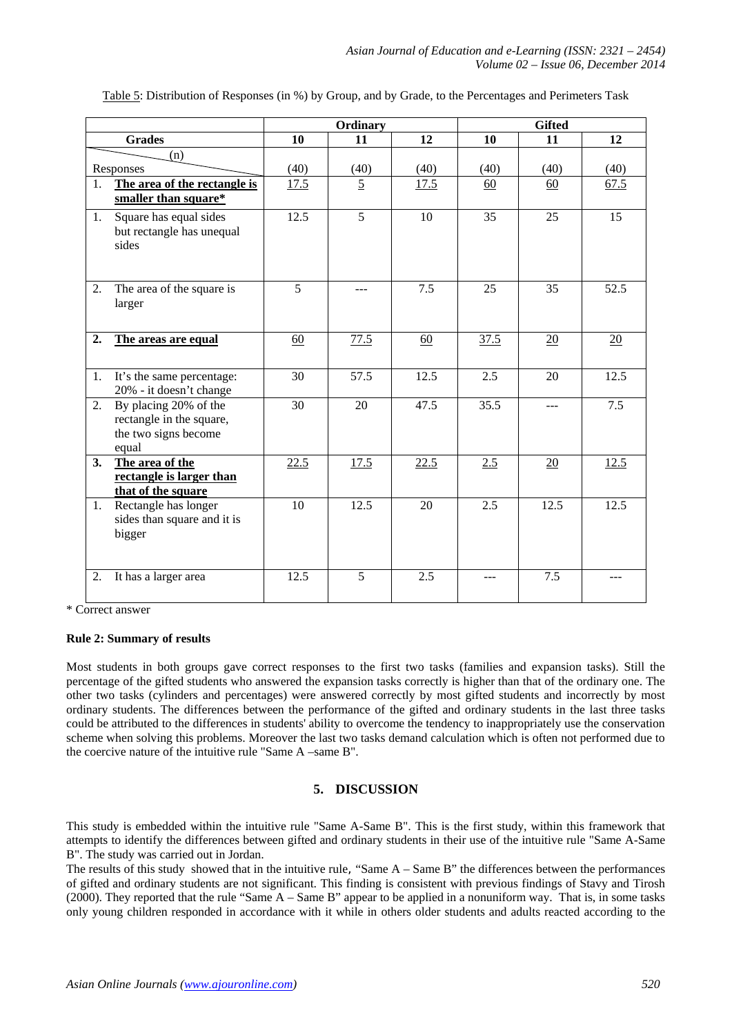|               |                                                                                    |                | <b>Ordinary</b> |      | <b>Gifted</b> |      |      |  |
|---------------|------------------------------------------------------------------------------------|----------------|-----------------|------|---------------|------|------|--|
| <b>Grades</b> |                                                                                    | 10             | 11              | 12   | 10            | 11   | 12   |  |
|               | (n)<br>Responses                                                                   | (40)           | (40)            | (40) | (40)          | (40) | (40) |  |
| 1.            | The area of the rectangle is<br>smaller than square*                               | 17.5           | 5               | 17.5 | 60            | 60   | 67.5 |  |
| 1.            | Square has equal sides<br>but rectangle has unequal<br>sides                       | 12.5           | 5               | 10   | 35            | 25   | 15   |  |
| 2.            | The area of the square is<br>larger                                                | $\overline{5}$ |                 | 7.5  | 25            | 35   | 52.5 |  |
| 2.            | The areas are equal                                                                | 60             | 77.5            | 60   | 37.5          | 20   | 20   |  |
| 1.            | It's the same percentage:<br>20% - it doesn't change                               | 30             | 57.5            | 12.5 | 2.5           | 20   | 12.5 |  |
| 2.            | By placing 20% of the<br>rectangle in the square,<br>the two signs become<br>equal | 30             | 20              | 47.5 | 35.5          | ---  | 7.5  |  |
| 3.            | The area of the<br>rectangle is larger than<br>that of the square                  | 22.5           | 17.5            | 22.5 | 2.5           | 20   | 12.5 |  |
| 1.            | Rectangle has longer<br>sides than square and it is<br>bigger                      | 10             | 12.5            | 20   | 2.5           | 12.5 | 12.5 |  |
| 2.            | It has a larger area                                                               | 12.5           | $\overline{5}$  | 2.5  |               | 7.5  |      |  |

Table 5: Distribution of Responses (in %) by Group, and by Grade, to the Percentages and Perimeters Task

\* Correct answer

# **Rule 2: Summary of results**

Most students in both groups gave correct responses to the first two tasks (families and expansion tasks). Still the percentage of the gifted students who answered the expansion tasks correctly is higher than that of the ordinary one. The other two tasks (cylinders and percentages) were answered correctly by most gifted students and incorrectly by most ordinary students. The differences between the performance of the gifted and ordinary students in the last three tasks could be attributed to the differences in students' ability to overcome the tendency to inappropriately use the conservation scheme when solving this problems. Moreover the last two tasks demand calculation which is often not performed due to the coercive nature of the intuitive rule "Same A –same B".

# **5. DISCUSSION**

This study is embedded within the intuitive rule "Same A-Same B". This is the first study, within this framework that attempts to identify the differences between gifted and ordinary students in their use of the intuitive rule "Same A-Same B". The study was carried out in Jordan.

The results of this study showed that in the intuitive rule, "Same  $A - Same B$ " the differences between the performances of gifted and ordinary students are not significant. This finding is consistent with previous findings of Stavy and Tirosh (2000). They reported that the rule "Same A – Same B" appear to be applied in a nonuniform way. That is, in some tasks only young children responded in accordance with it while in others older students and adults reacted according to the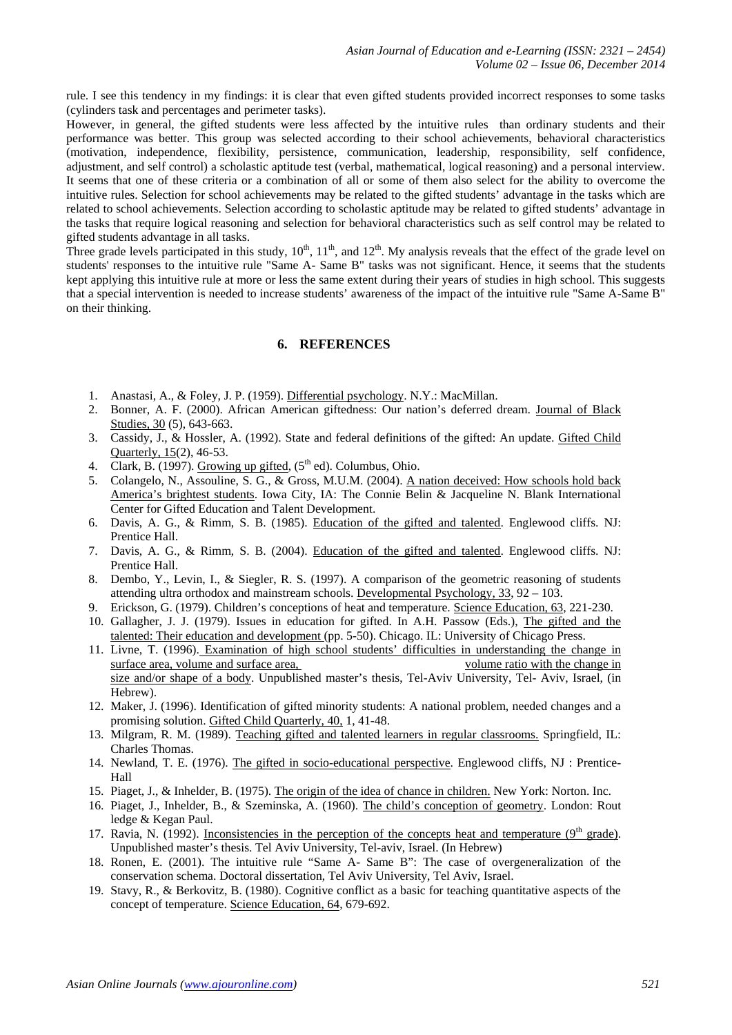rule. I see this tendency in my findings: it is clear that even gifted students provided incorrect responses to some tasks (cylinders task and percentages and perimeter tasks).

However, in general, the gifted students were less affected by the intuitive rules than ordinary students and their performance was better. This group was selected according to their school achievements, behavioral characteristics (motivation, independence, flexibility, persistence, communication, leadership, responsibility, self confidence, adjustment, and self control) a scholastic aptitude test (verbal, mathematical, logical reasoning) and a personal interview. It seems that one of these criteria or a combination of all or some of them also select for the ability to overcome the intuitive rules. Selection for school achievements may be related to the gifted students' advantage in the tasks which are related to school achievements. Selection according to scholastic aptitude may be related to gifted students' advantage in the tasks that require logical reasoning and selection for behavioral characteristics such as self control may be related to gifted students advantage in all tasks.

Three grade levels participated in this study,  $10^{th}$ ,  $11^{th}$ , and  $12^{th}$ . My analysis reveals that the effect of the grade level on students' responses to the intuitive rule "Same A- Same B" tasks was not significant. Hence, it seems that the students kept applying this intuitive rule at more or less the same extent during their years of studies in high school. This suggests that a special intervention is needed to increase students' awareness of the impact of the intuitive rule "Same A-Same B" on their thinking.

# **6. REFERENCES**

- 1. Anastasi, A., & Foley, J. P. (1959). Differential psychology. N.Y.: MacMillan.
- 2. Bonner, A. F. (2000). African American giftedness: Our nation's deferred dream. Journal of Black Studies, 30 (5), 643-663.
- 3. Cassidy, J., & Hossler, A. (1992). State and federal definitions of the gifted: An update. Gifted Child Quarterly, 15(2), 46-53.
- 4. Clark, B. (1997). Growing up gifted,  $(5^{th}$  ed). Columbus, Ohio.
- 5. Colangelo, N., Assouline, S. G., & Gross, M.U.M. (2004). A nation deceived: How schools hold back America's brightest students. Iowa City, IA: The Connie Belin & Jacqueline N. Blank International Center for Gifted Education and Talent Development.
- 6. Davis, A. G., & Rimm, S. B. (1985). Education of the gifted and talented. Englewood cliffs. NJ: Prentice Hall.
- 7. Davis, A. G., & Rimm, S. B. (2004). Education of the gifted and talented. Englewood cliffs. NJ: Prentice Hall.
- 8. Dembo, Y., Levin, I., & Siegler, R. S. (1997). A comparison of the geometric reasoning of students attending ultra orthodox and mainstream schools. Developmental Psychology, 33, 92 – 103.
- 9. Erickson, G. (1979). Children's conceptions of heat and temperature. Science Education, 63, 221-230.
- 10. Gallagher, J. J. (1979). Issues in education for gifted. In A.H. Passow (Eds.), The gifted and the talented: Their education and development (pp. 5-50). Chicago. IL: University of Chicago Press.
- 11. Livne, T. (1996). Examination of high school students' difficulties in understanding the change in surface area, volume and surface area, volume ratio with the change in size and/or shape of a body. Unpublished master's thesis, Tel-Aviv University, Tel-Aviv, Israel, (in Hebrew).
- 12. Maker, J. (1996). Identification of gifted minority students: A national problem, needed changes and a promising solution. Gifted Child Quarterly, 40, 1, 41-48.
- 13. Milgram, R. M. (1989). Teaching gifted and talented learners in regular classrooms. Springfield, IL: Charles Thomas.
- 14. Newland, T. E. (1976). The gifted in socio-educational perspective. Englewood cliffs, NJ : Prentice-Hall
- 15. Piaget, J., & Inhelder, B. (1975). The origin of the idea of chance in children. New York: Norton. Inc.
- 16. Piaget, J., Inhelder, B., & Szeminska, A. (1960). The child's conception of geometry. London: Rout ledge & Kegan Paul.
- 17. Ravia, N. (1992). Inconsistencies in the perception of the concepts heat and temperature  $(9<sup>th</sup> \text{ grade})$ . Unpublished master's thesis. Tel Aviv University, Tel-aviv, Israel. (In Hebrew)
- 18. Ronen, E. (2001). The intuitive rule "Same A- Same B": The case of overgeneralization of the conservation schema. Doctoral dissertation, Tel Aviv University, Tel Aviv, Israel.
- 19. Stavy, R., & Berkovitz, B. (1980). Cognitive conflict as a basic for teaching quantitative aspects of the concept of temperature. Science Education, 64, 679-692.